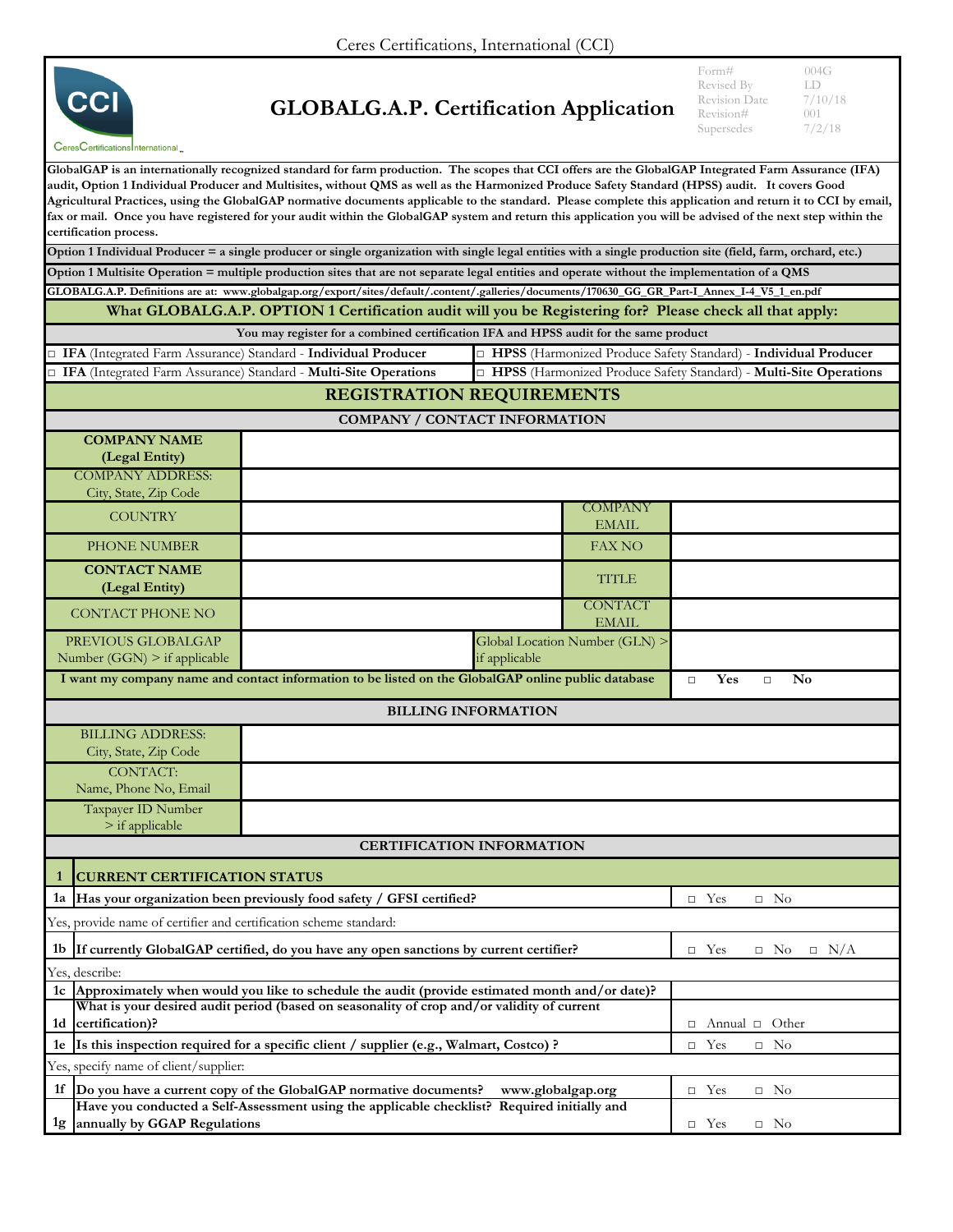

## **GLOBALG.A.P. Certification Application**

Form# 004G<br>Revised By LD Revised By LD<br>Revision Date 7/10/18 Revision Date  $7/10$ <br>Revision#  $001$ Revision# 001<br>Supersedes 7/2/18 Supersedes

| CeresCertificationsInternational                                                           |                                                                                                                                                                                                                                                                                                                                                                                                                                                                                                                                                                                                                                        |                                                |                                                                     |
|--------------------------------------------------------------------------------------------|----------------------------------------------------------------------------------------------------------------------------------------------------------------------------------------------------------------------------------------------------------------------------------------------------------------------------------------------------------------------------------------------------------------------------------------------------------------------------------------------------------------------------------------------------------------------------------------------------------------------------------------|------------------------------------------------|---------------------------------------------------------------------|
| certification process.                                                                     | GlobalGAP is an internationally recognized standard for farm production. The scopes that CCI offers are the GlobalGAP Integrated Farm Assurance (IFA)<br>audit, Option 1 Individual Producer and Multisites, without QMS as well as the Harmonized Produce Safety Standard (HPSS) audit. It covers Good<br>Agricultural Practices, using the GlobalGAP normative documents applicable to the standard. Please complete this application and return it to CCI by email,<br>fax or mail. Once you have registered for your audit within the GlobalGAP system and return this application you will be advised of the next step within the |                                                |                                                                     |
|                                                                                            | Option 1 Individual Producer = a single producer or single organization with single legal entities with a single production site (field, farm, orchard, etc.)                                                                                                                                                                                                                                                                                                                                                                                                                                                                          |                                                |                                                                     |
|                                                                                            | Option 1 Multisite Operation = multiple production sites that are not separate legal entities and operate without the implementation of a QMS                                                                                                                                                                                                                                                                                                                                                                                                                                                                                          |                                                |                                                                     |
|                                                                                            | GLOBALG.A.P. Definitions are at: www.globalgap.org/export/sites/default/.content/.galleries/documents/170630_GG_GR_Part-I_Annex_I-4_V5_1_en.pdf                                                                                                                                                                                                                                                                                                                                                                                                                                                                                        |                                                |                                                                     |
|                                                                                            | What GLOBALG.A.P. OPTION 1 Certification audit will you be Registering for? Please check all that apply:                                                                                                                                                                                                                                                                                                                                                                                                                                                                                                                               |                                                |                                                                     |
|                                                                                            | You may register for a combined certification IFA and HPSS audit for the same product                                                                                                                                                                                                                                                                                                                                                                                                                                                                                                                                                  |                                                |                                                                     |
| □ IFA (Integrated Farm Assurance) Standard - Individual Producer                           |                                                                                                                                                                                                                                                                                                                                                                                                                                                                                                                                                                                                                                        |                                                | Individual Produce Safety Standard) - Individual Producer           |
|                                                                                            | IFA (Integrated Farm Assurance) Standard - Multi-Site Operations                                                                                                                                                                                                                                                                                                                                                                                                                                                                                                                                                                       |                                                | □ HPSS (Harmonized Produce Safety Standard) - Multi-Site Operations |
|                                                                                            |                                                                                                                                                                                                                                                                                                                                                                                                                                                                                                                                                                                                                                        | <b>REGISTRATION REQUIREMENTS</b>               |                                                                     |
|                                                                                            |                                                                                                                                                                                                                                                                                                                                                                                                                                                                                                                                                                                                                                        | COMPANY / CONTACT INFORMATION                  |                                                                     |
| <b>COMPANY NAME</b>                                                                        |                                                                                                                                                                                                                                                                                                                                                                                                                                                                                                                                                                                                                                        |                                                |                                                                     |
| (Legal Entity)                                                                             |                                                                                                                                                                                                                                                                                                                                                                                                                                                                                                                                                                                                                                        |                                                |                                                                     |
| <b>COMPANY ADDRESS:</b>                                                                    |                                                                                                                                                                                                                                                                                                                                                                                                                                                                                                                                                                                                                                        |                                                |                                                                     |
| City, State, Zip Code                                                                      |                                                                                                                                                                                                                                                                                                                                                                                                                                                                                                                                                                                                                                        |                                                |                                                                     |
| <b>COUNTRY</b>                                                                             |                                                                                                                                                                                                                                                                                                                                                                                                                                                                                                                                                                                                                                        | <b>COMPANY</b>                                 |                                                                     |
|                                                                                            |                                                                                                                                                                                                                                                                                                                                                                                                                                                                                                                                                                                                                                        | <b>EMAIL</b>                                   |                                                                     |
| PHONE NUMBER                                                                               |                                                                                                                                                                                                                                                                                                                                                                                                                                                                                                                                                                                                                                        | <b>FAX NO</b>                                  |                                                                     |
| <b>CONTACT NAME</b><br>(Legal Entity)                                                      |                                                                                                                                                                                                                                                                                                                                                                                                                                                                                                                                                                                                                                        | <b>TITLE</b>                                   |                                                                     |
| <b>CONTACT PHONE NO</b>                                                                    |                                                                                                                                                                                                                                                                                                                                                                                                                                                                                                                                                                                                                                        | <b>CONTACT</b>                                 |                                                                     |
|                                                                                            |                                                                                                                                                                                                                                                                                                                                                                                                                                                                                                                                                                                                                                        | <b>EMAIL</b><br>Global Location Number (GLN) > |                                                                     |
| PREVIOUS GLOBALGAP                                                                         |                                                                                                                                                                                                                                                                                                                                                                                                                                                                                                                                                                                                                                        |                                                |                                                                     |
| Number $(GGN)$ > if applicable                                                             |                                                                                                                                                                                                                                                                                                                                                                                                                                                                                                                                                                                                                                        | if applicable                                  |                                                                     |
|                                                                                            | I want my company name and contact information to be listed on the GlobalGAP online public database                                                                                                                                                                                                                                                                                                                                                                                                                                                                                                                                    |                                                | Yes<br>No<br>$\Box$<br>$\Box$                                       |
|                                                                                            |                                                                                                                                                                                                                                                                                                                                                                                                                                                                                                                                                                                                                                        | <b>BILLING INFORMATION</b>                     |                                                                     |
| <b>BILLING ADDRESS:</b>                                                                    |                                                                                                                                                                                                                                                                                                                                                                                                                                                                                                                                                                                                                                        |                                                |                                                                     |
| City, State, Zip Code                                                                      |                                                                                                                                                                                                                                                                                                                                                                                                                                                                                                                                                                                                                                        |                                                |                                                                     |
| <b>CONTACT:</b>                                                                            |                                                                                                                                                                                                                                                                                                                                                                                                                                                                                                                                                                                                                                        |                                                |                                                                     |
| Name, Phone No, Email                                                                      |                                                                                                                                                                                                                                                                                                                                                                                                                                                                                                                                                                                                                                        |                                                |                                                                     |
| Taxpayer ID Number                                                                         |                                                                                                                                                                                                                                                                                                                                                                                                                                                                                                                                                                                                                                        |                                                |                                                                     |
| $>$ if applicable                                                                          |                                                                                                                                                                                                                                                                                                                                                                                                                                                                                                                                                                                                                                        |                                                |                                                                     |
|                                                                                            |                                                                                                                                                                                                                                                                                                                                                                                                                                                                                                                                                                                                                                        | <b>CERTIFICATION INFORMATION</b>               |                                                                     |
| <b>CURRENT CERTIFICATION STATUS</b>                                                        |                                                                                                                                                                                                                                                                                                                                                                                                                                                                                                                                                                                                                                        |                                                |                                                                     |
| 1a Has your organization been previously food safety / GFSI certified?                     | $\Box$ No<br>$\Box$ Yes                                                                                                                                                                                                                                                                                                                                                                                                                                                                                                                                                                                                                |                                                |                                                                     |
| Yes, provide name of certifier and certification scheme standard:                          |                                                                                                                                                                                                                                                                                                                                                                                                                                                                                                                                                                                                                                        |                                                |                                                                     |
| 1b If currently GlobalGAP certified, do you have any open sanctions by current certifier?  | $\Box$ N/A<br>$\Box$ Yes<br>$\Box$ No                                                                                                                                                                                                                                                                                                                                                                                                                                                                                                                                                                                                  |                                                |                                                                     |
| Yes, describe:                                                                             |                                                                                                                                                                                                                                                                                                                                                                                                                                                                                                                                                                                                                                        |                                                |                                                                     |
|                                                                                            | 1c Approximately when would you like to schedule the audit (provide estimated month and/or date)?                                                                                                                                                                                                                                                                                                                                                                                                                                                                                                                                      |                                                |                                                                     |
| What is your desired audit period (based on seasonality of crop and/or validity of current |                                                                                                                                                                                                                                                                                                                                                                                                                                                                                                                                                                                                                                        |                                                |                                                                     |
| 1d certification)?                                                                         | $\Box$ Annual $\Box$ Other                                                                                                                                                                                                                                                                                                                                                                                                                                                                                                                                                                                                             |                                                |                                                                     |
| 1e Is this inspection required for a specific client / supplier (e.g., Walmart, Costco) ?  | $\Box$ Yes<br>$\Box$ No                                                                                                                                                                                                                                                                                                                                                                                                                                                                                                                                                                                                                |                                                |                                                                     |
| Yes, specify name of client/supplier:                                                      |                                                                                                                                                                                                                                                                                                                                                                                                                                                                                                                                                                                                                                        |                                                |                                                                     |
|                                                                                            | 1f  Do you have a current copy of the GlobalGAP normative documents?                                                                                                                                                                                                                                                                                                                                                                                                                                                                                                                                                                   | www.globalgap.org                              | $\Box$ Yes<br>$\Box$ No                                             |
|                                                                                            | Have you conducted a Self-Assessment using the applicable checklist? Required initially and                                                                                                                                                                                                                                                                                                                                                                                                                                                                                                                                            |                                                |                                                                     |
| <sup>1g</sup> annually by GGAP Regulations                                                 |                                                                                                                                                                                                                                                                                                                                                                                                                                                                                                                                                                                                                                        |                                                | $\Box$ Yes<br>$\Box$ No                                             |